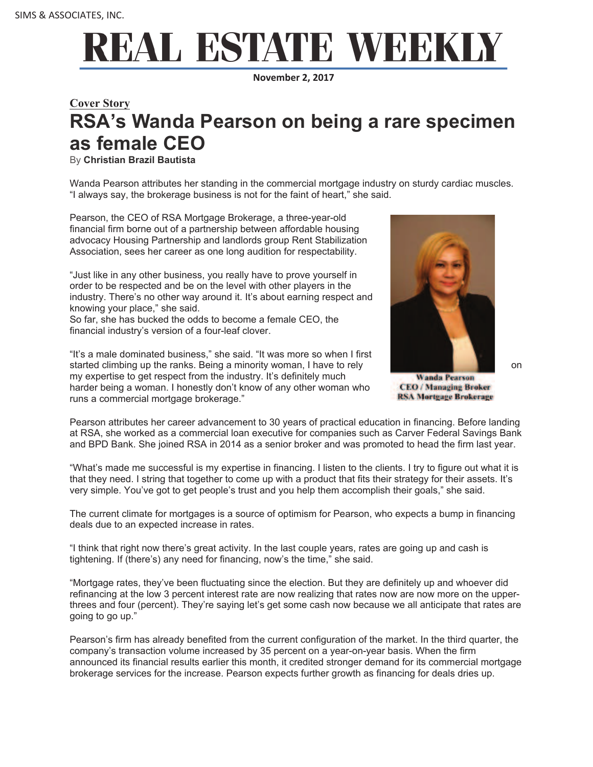## REAL ESTATE WEEKL

**November 2, 2017**

## **Cover Story RSA's Wanda Pearson on being a rare specimen as female CEO**

By **Christian Brazil Bautista**

Wanda Pearson attributes her standing in the commercial mortgage industry on sturdy cardiac muscles. "I always say, the brokerage business is not for the faint of heart," she said.

Pearson, the CEO of RSA Mortgage Brokerage, a three-year-old financial firm borne out of a partnership between affordable housing advocacy Housing Partnership and landlords group Rent Stabilization Association, sees her career as one long audition for respectability.

"Just like in any other business, you really have to prove yourself in order to be respected and be on the level with other players in the industry. There's no other way around it. It's about earning respect and knowing your place," she said.

So far, she has bucked the odds to become a female CEO, the financial industry's version of a four-leaf clover.

"It's a male dominated business," she said. "It was more so when I first started climbing up the ranks. Being a minority woman, I have to rely on the state of the state on the state on my expertise to get respect from the industry. It's definitely much harder being a woman. I honestly don't know of any other woman who runs a commercial mortgage brokerage."



**Wanda Pearson CEO** / Managing Broker **RSA Mortgage Brokerage** 

Pearson attributes her career advancement to 30 years of practical education in financing. Before landing at RSA, she worked as a commercial loan executive for companies such as Carver Federal Savings Bank and BPD Bank. She joined RSA in 2014 as a senior broker and was promoted to head the firm last year.

"What's made me successful is my expertise in financing. I listen to the clients. I try to figure out what it is that they need. I string that together to come up with a product that fits their strategy for their assets. It's very simple. You've got to get people's trust and you help them accomplish their goals," she said.

The current climate for mortgages is a source of optimism for Pearson, who expects a bump in financing deals due to an expected increase in rates.

"I think that right now there's great activity. In the last couple years, rates are going up and cash is tightening. If (there's) any need for financing, now's the time," she said.

"Mortgage rates, they've been fluctuating since the election. But they are definitely up and whoever did refinancing at the low 3 percent interest rate are now realizing that rates now are now more on the upperthrees and four (percent). They're saying let's get some cash now because we all anticipate that rates are going to go up."

Pearson's firm has already benefited from the current configuration of the market. In the third quarter, the company's transaction volume increased by 35 percent on a year-on-year basis. When the firm announced its financial results earlier this month, it credited stronger demand for its commercial mortgage brokerage services for the increase. Pearson expects further growth as financing for deals dries up.